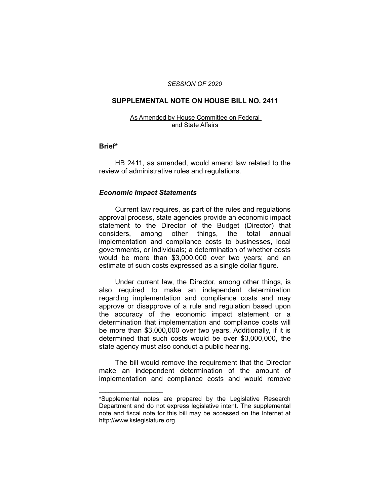#### *SESSION OF 2020*

## **SUPPLEMENTAL NOTE ON HOUSE BILL NO. 2411**

#### As Amended by House Committee on Federal and State Affairs

## **Brief\***

HB 2411, as amended, would amend law related to the review of administrative rules and regulations.

# *Economic Impact Statements*

 $\overline{\phantom{a}}$  , where  $\overline{\phantom{a}}$  , where  $\overline{\phantom{a}}$ 

Current law requires, as part of the rules and regulations approval process, state agencies provide an economic impact statement to the Director of the Budget (Director) that considers, among other things, the total annual implementation and compliance costs to businesses, local governments, or individuals; a determination of whether costs would be more than \$3,000,000 over two years; and an estimate of such costs expressed as a single dollar figure.

Under current law, the Director, among other things, is also required to make an independent determination regarding implementation and compliance costs and may approve or disapprove of a rule and regulation based upon the accuracy of the economic impact statement or a determination that implementation and compliance costs will be more than \$3,000,000 over two years. Additionally, if it is determined that such costs would be over \$3,000,000, the state agency must also conduct a public hearing.

The bill would remove the requirement that the Director make an independent determination of the amount of implementation and compliance costs and would remove

<sup>\*</sup>Supplemental notes are prepared by the Legislative Research Department and do not express legislative intent. The supplemental note and fiscal note for this bill may be accessed on the Internet at http://www.kslegislature.org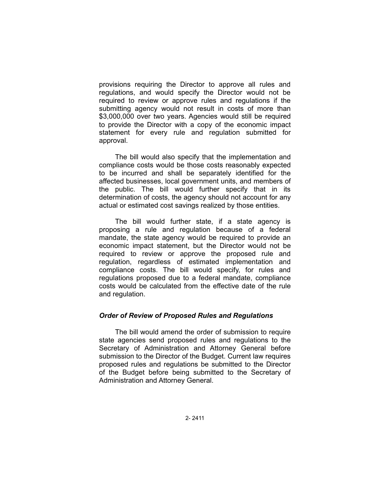provisions requiring the Director to approve all rules and regulations, and would specify the Director would not be required to review or approve rules and regulations if the submitting agency would not result in costs of more than \$3,000,000 over two years. Agencies would still be required to provide the Director with a copy of the economic impact statement for every rule and regulation submitted for approval.

The bill would also specify that the implementation and compliance costs would be those costs reasonably expected to be incurred and shall be separately identified for the affected businesses, local government units, and members of the public. The bill would further specify that in its determination of costs, the agency should not account for any actual or estimated cost savings realized by those entities.

The bill would further state, if a state agency is proposing a rule and regulation because of a federal mandate, the state agency would be required to provide an economic impact statement, but the Director would not be required to review or approve the proposed rule and regulation, regardless of estimated implementation and compliance costs. The bill would specify, for rules and regulations proposed due to a federal mandate, compliance costs would be calculated from the effective date of the rule and regulation.

# *Order of Review of Proposed Rules and Regulations*

The bill would amend the order of submission to require state agencies send proposed rules and regulations to the Secretary of Administration and Attorney General before submission to the Director of the Budget. Current law requires proposed rules and regulations be submitted to the Director of the Budget before being submitted to the Secretary of Administration and Attorney General.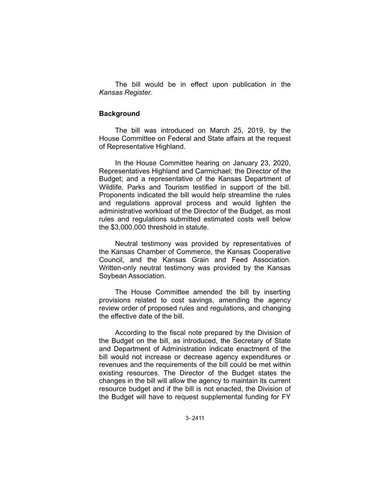The bill would be in effect upon publication in the *Kansas Register.*

### **Background**

The bill was introduced on March 25, 2019, by the House Committee on Federal and State affairs at the request of Representative Highland.

In the House Committee hearing on January 23, 2020, Representatives Highland and Carmichael; the Director of the Budget; and a representative of the Kansas Department of Wildlife, Parks and Tourism testified in support of the bill. Proponents indicated the bill would help streamline the rules and regulations approval process and would lighten the administrative workload of the Director of the Budget, as most rules and regulations submitted estimated costs well below the \$3,000,000 threshold in statute.

Neutral testimony was provided by representatives of the Kansas Chamber of Commerce, the Kansas Cooperative Council, and the Kansas Grain and Feed Association. Written-only neutral testimony was provided by the Kansas Soybean Association.

The House Committee amended the bill by inserting provisions related to cost savings, amending the agency review order of proposed rules and regulations, and changing the effective date of the bill.

According to the fiscal note prepared by the Division of the Budget on the bill, as introduced, the Secretary of State and Department of Administration indicate enactment of the bill would not increase or decrease agency expenditures or revenues and the requirements of the bill could be met within existing resources. The Director of the Budget states the changes in the bill will allow the agency to maintain its current resource budget and if the bill is not enacted, the Division of the Budget will have to request supplemental funding for FY